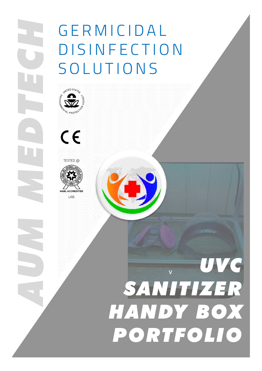TESTED @

LAB

# D I S I N F E C T I O N **SOLUTIONS**

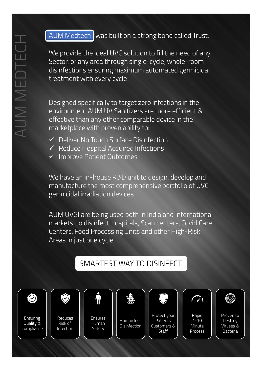### AUM Medtech was built on a strong bond called Trust.

We provide the ideal UVC solution to fill the need of any Sector, or any area through single-cycle, whole-room disinfections ensuring maximum automated germicidal treatment with every cycle

Designed specifically to target zero infections in the environment AUM UV Sanitizers are more efficient & effective than any other comparable device in the marketplace with proven ability to:

- Deliver No Touch Surface Disinfection
- $\checkmark$  Reduce Hospital Acquired Infections
- $\checkmark$  Improve Patient Outcomes

We have an in-house R&D unit to design, develop and manufacture the most comprehensive portfolio of UVC germicidal irradiation devices

AUM UVGI are being used both in India and International markets to disinfect Hospitals, Scan centers, Covid Care Centers, Food Processing Units and other High-Risk Areas in just one cycle

### SMARTEST WAY TO DISINFECT

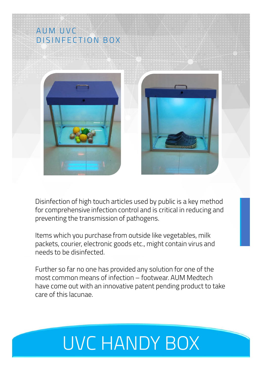### A U M U V C DISINFECTION BOX





Disinfection of high touch articles used by public is a key method for comprehensive infection control and is critical in reducing and preventing the transmission of pathogens.

Items which you purchase from outside like vegetables, milk packets, courier, electronic goods etc., might contain virus and needs to be disinfected.

Further so far no one has provided any solution for one of the most common means of infection – footwear. AUM Medtech have come out with an innovative patent pending product to take care of this lacunae.

# UVC HANDY BOX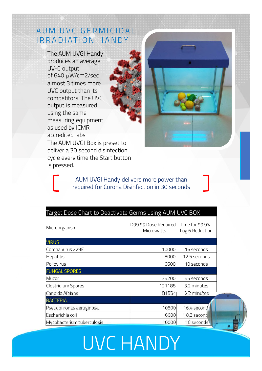### AUM UVC GERMICIDAL IRRADIATION HANDY

The AUM UVGI Handy produces an average UV-C output of 640 μW/cm2/sec almost 3 times more UVC output than its competitors. The UVC output is measured using the same measuring equipment as used by ICMR accredited labs

The AUM UVGI Box is preset to deliver a 30 second disinfection cycle every time the Start button is pressed.

> AUM UVGI Handy delivers more power than required for Corona Disinfection in 30 seconds

| Target Dose Chart to Deactivate Germs using AUM UVC BOX |                                      |                                     |  |
|---------------------------------------------------------|--------------------------------------|-------------------------------------|--|
| Microorganism                                           | D99.9% Dose Required<br>- Microwatts | Time for 99.9% -<br>Log 6 Reduction |  |
| <b>VIRUS</b>                                            |                                      |                                     |  |
| Corona Virus 229E                                       | 10000                                | 16 seconds                          |  |
| Hepatitis                                               | 8000                                 | 12.5 seconds                        |  |
| Poliovirus                                              | 6600                                 | 10 seconds                          |  |
| <b>FUNGAL SPORES</b>                                    |                                      |                                     |  |
| Mucor                                                   | 35200                                | 55 seconds                          |  |
| Clostridium Spores                                      | 121188                               | 3.2 minutes                         |  |
| Candida Albians                                         | 81554                                | 2.2 minutes                         |  |
| <b>BACTERIA</b>                                         |                                      |                                     |  |
| Pseudomonas aeruginosa                                  | 10500                                | 16.4 second                         |  |
| Escherichia coli                                        | 6600                                 | 10.3 second                         |  |
| Mycobacterium tuberculosis                              | 10000                                | 16 seconds                          |  |

## UVC HANDY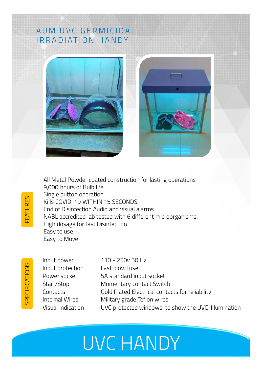### AUM UVC GERMICIDAL IRRADIATION HANDY





FEATURES

All Metal Powder coated construction for lasting operations 9,000 hours of Bulb life Single button operation Kills COVID-19 WITHIN 15 SECONDS End of Disinfection Audio and visual alarms NABL accredited lab tested with 6 different microorganisms. High dosage for fast Disinfection Easy to use Easy to Move

Input protection Fast blow fuse

Input power 110 - 250v 50 Hz Power socket 5A standard input socket Start/Stop Momentary contact Switch Contacts Gold Plated Electrical contacts for reliability Internal Wires Military grade Teflon wires Visual indication UVC protected windows to show the UVC Illumination

## UVC HANDY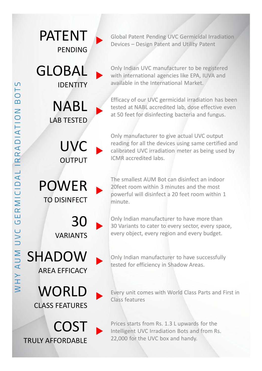

30

COST

TRULY AFFORDABLE

Global Patent Pending UVC Germicidal Irradiation Devices – Design Patent and Utility Patent

Only Indian UVC manufacturer to be registered with international agencies like EPA, IUVA and available in the International Market.

Efficacy of our UVC germicidal irradiation has been tested at NABL accredited lab, dose effective even at 50 feet for disinfecting bacteria and fungus.

Only manufacturer to give actual UVC output reading for all the devices using same certified and calibrated UVC irradiation meter as being used by ICMR accredited labs.

The smallest AUM Bot can disinfect an indoor 20feet room within 3 minutes and the most powerful will disinfect a 20 feet room within 1 minute.

Only Indian manufacturer to have more than 30 Variants to cater to every sector, every space, every object, every region and every budget.

Only Indian manufacturer to have successfully tested for efficiency in Shadow Areas.

Every unit comes with World Class Parts and First in Class features

Prices starts from Rs. 1.3 L upwards for the Intelligent UVC Irradiation Bots and from Rs. 22,000 for the UVC box and handy.